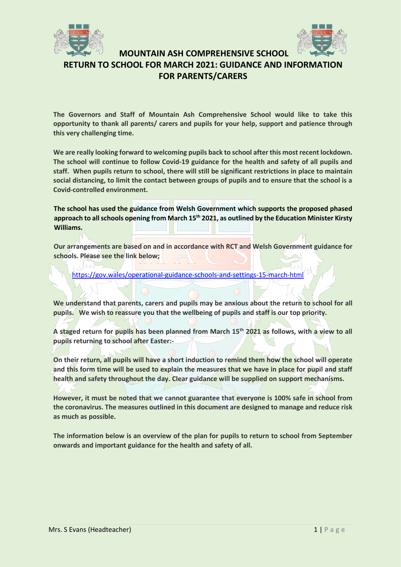



## **MOUNTAIN ASH COMPREHENSIVE SCHOOL RETURN TO SCHOOL FOR MARCH 2021: GUIDANCE AND INFORMATION FOR PARENTS/CARERS**

**The Governors and Staff of Mountain Ash Comprehensive School would like to take this opportunity to thank all parents/ carers and pupils for your help, support and patience through this very challenging time.** 

**We are really looking forward to welcoming pupils back to school after this most recent lockdown. The school will continue to follow Covid-19 guidance for the health and safety of all pupils and staff. When pupils return to school, there will still be significant restrictions in place to maintain social distancing, to limit the contact between groups of pupils and to ensure that the school is a Covid-controlled environment.** 

**The school has used the guidance from Welsh Government which supports the proposed phased approach to all schools opening from March 15th 2021, as outlined by the Education Minister Kirsty Williams.** 

**Our arrangements are based on and in accordance with RCT and Welsh Government guidance for schools. Please see the link below;**

<https://gov.wales/operational-guidance-schools-and-settings-15-march-html>

**We understand that parents, carers and pupils may be anxious about the return to school for all pupils. We wish to reassure you that the wellbeing of pupils and staff is our top priority.** 

**A staged return for pupils has been planned from March 15th 2021 as follows, with a view to all pupils returning to school after Easter:-**

**On their return, all pupils will have a short induction to remind them how the school will operate**  and this form time will be used to explain the measures that we have in place for pupil and staff **health and safety throughout the day. Clear guidance will be supplied on support mechanisms.** 

**However, it must be noted that we cannot guarantee that everyone is 100% safe in school from the coronavirus. The measures outlined in this document are designed to manage and reduce risk as much as possible.** 

**The information below is an overview of the plan for pupils to return to school from September onwards and important guidance for the health and safety of all.**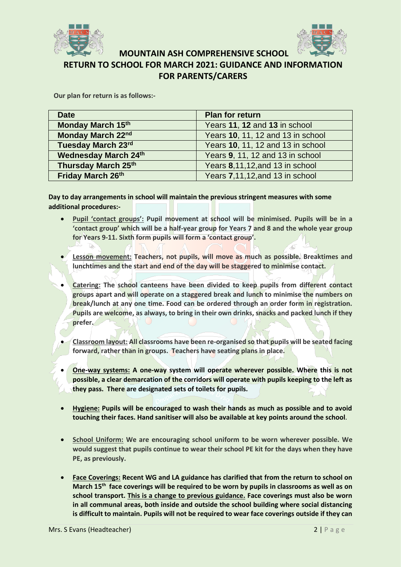



**RETURN TO SCHOOL FOR MARCH 2021: GUIDANCE AND INFORMATION FOR PARENTS/CARERS**

**Our plan for return is as follows:-**

| <b>Date</b>                 | <b>Plan for return</b>            |
|-----------------------------|-----------------------------------|
| Monday March 15th           | Years 11, 12 and 13 in school     |
| Monday March 22nd           | Years 10, 11, 12 and 13 in school |
| Tuesday March 23rd          | Years 10, 11, 12 and 13 in school |
| <b>Wednesday March 24th</b> | Years 9, 11, 12 and 13 in school  |
| <b>Thursday March 25th</b>  | Years 8,11,12, and 13 in school   |
| Friday March 26th           | Years 7,11,12, and 13 in school   |

**Day to day arrangements in school will maintain the previous stringent measures with some additional procedures:-**

- **Pupil 'contact groups': Pupil movement at school will be minimised. Pupils will be in a 'contact group' which will be a half-year group for Years 7 and 8 and the whole year group for Years 9-11. Sixth form pupils will form a 'contact group'.**
- **Lesson movement: Teachers, not pupils, will move as much as possible. Breaktimes and lunchtimes and the start and end of the day will be staggered to minimise contact.**
- **Catering: The school canteens have been divided to keep pupils from different contact groups apart and will operate on a staggered break and lunch to minimise the numbers on break/lunch at any one time. Food can be ordered through an order form in registration. Pupils are welcome, as always, to bring in their own drinks, snacks and packed lunch if they prefer.**
- **Classroom layout: All classrooms have been re-organised so that pupils will be seated facing forward, rather than in groups. Teachers have seating plans in place.**
- **One-way systems: A one-way system will operate wherever possible. Where this is not possible, a clear demarcation of the corridors will operate with pupils keeping to the left as they pass. There are designated sets of toilets for pupils.**
- **Hygiene: Pupils will be encouraged to wash their hands as much as possible and to avoid touching their faces. Hand sanitiser will also be available at key points around the school**.
- **School Uniform: We are encouraging school uniform to be worn wherever possible. We would suggest that pupils continue to wear their school PE kit for the days when they have PE, as previously.**
- **Face Coverings: Recent WG and LA guidance has clarified that from the return to school on March 15th face coverings will be required to be worn by pupils in classrooms as well as on school transport. This is a change to previous guidance. Face coverings must also be worn in all communal areas, both inside and outside the school building where social distancing is difficult to maintain. Pupils will not be required to wear face coverings outside if they can**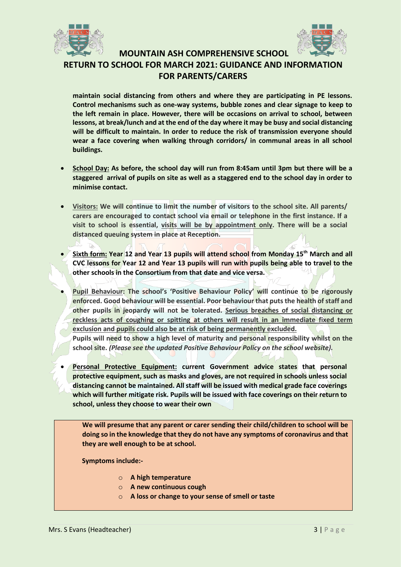



**RETURN TO SCHOOL FOR MARCH 2021: GUIDANCE AND INFORMATION FOR PARENTS/CARERS**

**maintain social distancing from others and where they are participating in PE lessons. Control mechanisms such as one-way systems, bubble zones and clear signage to keep to the left remain in place. However, there will be occasions on arrival to school, between lessons, at break/lunch and at the end of the day where it may be busy and social distancing will be difficult to maintain. In order to reduce the risk of transmission everyone should wear a face covering when walking through corridors/ in communal areas in all school buildings.**

- **School Day: As before, the school day will run from 8:45am until 3pm but there will be a staggered arrival of pupils on site as well as a staggered end to the school day in order to minimise contact.**
- **Visitors: We will continue to limit the number of visitors to the school site. All parents/ carers are encouraged to contact school via email or telephone in the first instance. If a visit to school is essential, visits will be by appointment only. There will be a social distanced queuing system in place at Reception.**
- **Sixth form: Year 12 and Year 13 pupils will attend school from Monday 15th March and all CVC lessons for Year 12 and Year 13 pupils will run with pupils being able to travel to the other schools in the Consortium from that date and vice versa.**
- **Pupil Behaviour: The school's 'Positive Behaviour Policy' will continue to be rigorously enforced. Good behaviour will be essential. Poor behaviour that puts the health of staff and other pupils in jeopardy will not be tolerated. Serious breaches of social distancing or reckless acts of coughing or spitting at others will result in an immediate fixed term exclusion and pupils could also be at risk of being permanently excluded. Pupils will need to show a high level of maturity and personal responsibility whilst on the school site.** *(Please see the updated Positive Behaviour Policy on the school website).*
- **Personal Protective Equipment: current Government advice states that personal protective equipment, such as masks and gloves, are not required in schools unless social distancing cannot be maintained. All staff will be issued with medical grade face coverings which will further mitigate risk. Pupils will be issued with face coverings on their return to school, unless they choose to wear their own**

**We will presume that any parent or carer sending their child/children to school will be doing so in the knowledge that they do not have any symptoms of coronavirus and that they are well enough to be at school.** 

**Symptoms include:-**

- o **A high temperature**
- o **A new continuous cough**
- o **A loss or change to your sense of smell or taste**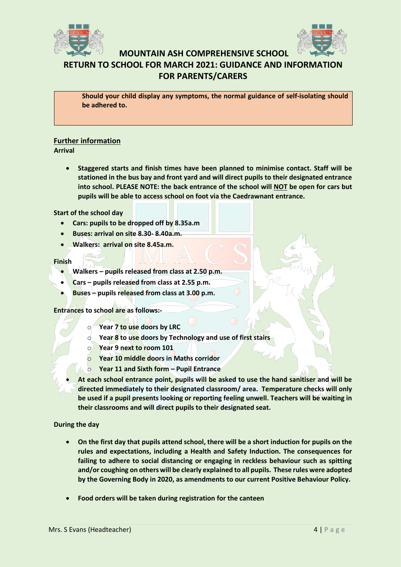



# **RETURN TO SCHOOL FOR MARCH 2021: GUIDANCE AND INFORMATION FOR PARENTS/CARERS**

**Should your child display any symptoms, the normal guidance of self-isolating should be adhered to.**

## **Further information**

**Arrival** 

• **Staggered starts and finish times have been planned to minimise contact. Staff will be stationed in the bus bay and front yard and will direct pupils to their designated entrance into school. PLEASE NOTE: the back entrance of the school will NOT be open for cars but pupils will be able to access school on foot via the Caedrawnant entrance.**

**Start of the school day**

- **Cars: pupils to be dropped off by 8.35a.m**
- **Buses: arrival on site 8.30- 8.40a.m.**
- **Walkers: arrival on site 8.45a.m.**

### **Finish**

- **Walkers – pupils released from class at 2.50 p.m.**
- **Cars – pupils released from class at 2.55 p.m.**
- **Buses – pupils released from class at 3.00 p.m.**

**Entrances to school are as follows:-**

- o **Year 7 to use doors by LRC**
- o **Year 8 to use doors by Technology and use of first stairs**
- o **Year 9 next to room 101**
- o **Year 10 middle doors in Maths corridor**
- o **Year 11 and Sixth form – Pupil Entrance**
- **At each school entrance point, pupils will be asked to use the hand sanitiser and will be directed immediately to their designated classroom/ area. Temperature checks will only be used if a pupil presents looking or reporting feeling unwell. Teachers will be waiting in their classrooms and will direct pupils to their designated seat.**

**During the day** 

- **On the first day that pupils attend school, there will be a short induction for pupils on the rules and expectations, including a Health and Safety Induction. The consequences for failing to adhere to social distancing or engaging in reckless behaviour such as spitting and/or coughing on others will be clearly explained to all pupils. These rules were adopted by the Governing Body in 2020, as amendments to our current Positive Behaviour Policy.**
- **Food orders will be taken during registration for the canteen**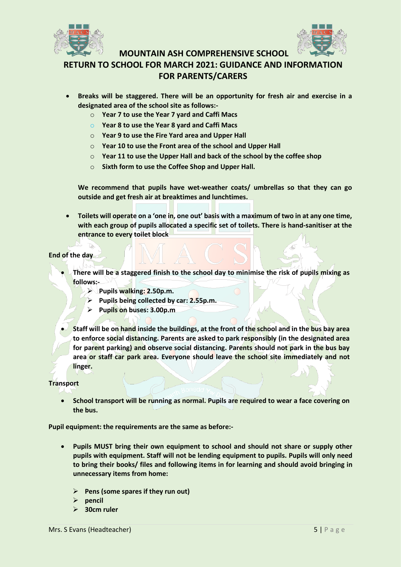



**RETURN TO SCHOOL FOR MARCH 2021: GUIDANCE AND INFORMATION FOR PARENTS/CARERS**

- **Breaks will be staggered. There will be an opportunity for fresh air and exercise in a designated area of the school site as follows:**
	- o **Year 7 to use the Year 7 yard and Caffi Macs**
	- o **Year 8 to use the Year 8 yard and Caffi Macs**
	- o **Year 9 to use the Fire Yard area and Upper Hall**
	- o **Year 10 to use the Front area of the school and Upper Hall**
	- o **Year 11 to use the Upper Hall and back of the school by the coffee shop**
	- o **Sixth form to use the Coffee Shop and Upper Hall.**

**We recommend that pupils have wet-weather coats/ umbrellas so that they can go outside and get fresh air at breaktimes and lunchtimes.**

• **Toilets will operate on a 'one in, one out' basis with a maximum of two in at any one time, with each group of pupils allocated a specific set of toilets. There is hand-sanitiser at the entrance to every toilet block**

### **End of the day**

- **There will be a staggered finish to the school day to minimise the risk of pupils mixing as follows:-**
	- ➢ **Pupils walking: 2.50p.m.**
	- ➢ **Pupils being collected by car: 2.55p.m.**
	- ➢ **Pupils on buses: 3.00p.m**
- **Staff will be on hand inside the buildings, at the front of the school and in the bus bay area to enforce social distancing. Parents are asked to park responsibly (in the designated area for parent parking) and observe social distancing. Parents should not park in the bus bay area or staff car park area. Everyone should leave the school site immediately and not linger.**

### **Transport**

• **School transport will be running as normal. Pupils are required to wear a face covering on the bus.**

**Pupil equipment: the requirements are the same as before:-**

- **Pupils MUST bring their own equipment to school and should not share or supply other pupils with equipment. Staff will not be lending equipment to pupils. Pupils will only need to bring their books/ files and following items in for learning and should avoid bringing in unnecessary items from home:**
	- ➢ **Pens (some spares if they run out)**
	- ➢ **pencil**
	- ➢ **30cm ruler**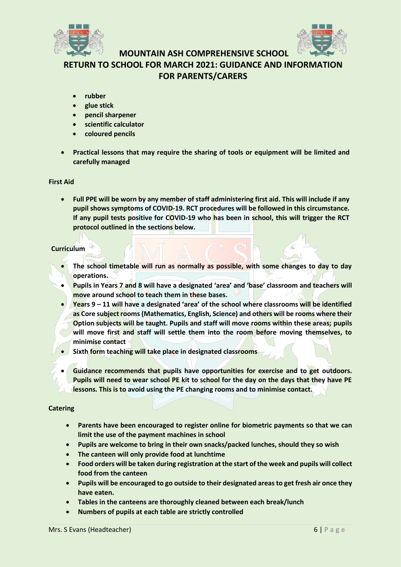



**RETURN TO SCHOOL FOR MARCH 2021: GUIDANCE AND INFORMATION FOR PARENTS/CARERS**

- **rubber**
- **glue stick**
- **pencil sharpener**
- **scientific calculator**
- **coloured pencils**
- **Practical lessons that may require the sharing of tools or equipment will be limited and carefully managed**

## **First Aid**

• **Full PPE will be worn by any member of staff administering first aid. This will include if any pupil shows symptoms of COVID-19. RCT procedures will be followed in this circumstance. If any pupil tests positive for COVID-19 who has been in school, this will trigger the RCT protocol outlined in the sections below.** 

## **Curriculum**

- **The school timetable will run as normally as possible, with some changes to day to day operations.**
- **Pupils in Years 7 and 8 will have a designated 'area' and 'base' classroom and teachers will move around school to teach them in these bases.**
- **Years 9 – 11 will have a designated 'area' of the school where classrooms will be identified as Core subject rooms (Mathematics, English, Science) and others will be rooms where their Option subjects will be taught. Pupils and staff will move rooms within these areas; pupils will move first and staff will settle them into the room before moving themselves, to minimise contact**
- **Sixth form teaching will take place in designated classrooms**
- **Guidance recommends that pupils have opportunities for exercise and to get outdoors. Pupils will need to wear school PE kit to school for the day on the days that they have PE lessons. This is to avoid using the PE changing rooms and to minimise contact.**

## **Catering**

- **Parents have been encouraged to register online for biometric payments so that we can limit the use of the payment machines in school**
- **Pupils are welcome to bring in their own snacks/packed lunches, should they so wish**
- **The canteen will only provide food at lunchtime**
- **Food orders will be taken during registration at the start of the week and pupils will collect food from the canteen**
- **Pupils will be encouraged to go outside to their designated areas to get fresh air once they have eaten.**
- **Tables in the canteens are thoroughly cleaned between each break/lunch**
- **Numbers of pupils at each table are strictly controlled**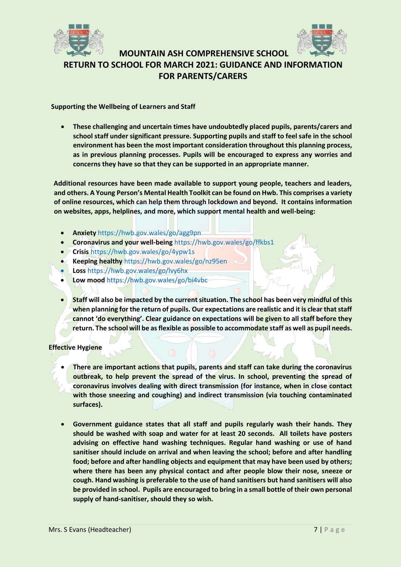



## **MOUNTAIN ASH COMPREHENSIVE SCHOOL RETURN TO SCHOOL FOR MARCH 2021: GUIDANCE AND INFORMATION FOR PARENTS/CARERS**

**Supporting the Wellbeing of Learners and Staff** 

• **These challenging and uncertain times have undoubtedly placed pupils, parents/carers and school staff under significant pressure. Supporting pupils and staff to feel safe in the school environment has been the most important consideration throughout this planning process, as in previous planning processes. Pupils will be encouraged to express any worries and concerns they have so that they can be supported in an appropriate manner.** 

**Additional resources have been made available to support young people, teachers and leaders, and others. A Young Person's Mental Health Toolkit can be found on Hwb. This comprises a variety of online resources, which can help them through lockdown and beyond. It contains information on websites, apps, helplines, and more, which support mental health and well-being:** 

- **Anxiety** https://hwb.gov.wales/go/agg9pn
- **Coronavirus and your well-being** https://hwb.gov.wales/go/ffkbs1
- **Crisis** https://hwb.gov.wales/go/4ypw1s
- **Keeping healthy** https://hwb.gov.wales/go/nz95en
- **Loss** https://hwb.gov.wales/go/lvy6hx
- **Low mood** https://hwb.gov.wales/go/bi4vbc
- **Staff will also be impacted by the current situation. The school has been very mindful of this when planning for the return of pupils. Our expectations are realistic and it is clear that staff cannot 'do everything'. Clear guidance on expectations will be given to all staff before they return. The school will be as flexible as possible to accommodate staff as well as pupil needs.**

**Effective Hygiene** 

- **There are important actions that pupils, parents and staff can take during the coronavirus outbreak, to help prevent the spread of the virus. In school, preventing the spread of coronavirus involves dealing with direct transmission (for instance, when in close contact with those sneezing and coughing) and indirect transmission (via touching contaminated surfaces).**
- **Government guidance states that all staff and pupils regularly wash their hands. They should be washed with soap and water for at least 20 seconds. All toilets have posters advising on effective hand washing techniques. Regular hand washing or use of hand sanitiser should include on arrival and when leaving the school; before and after handling food; before and after handling objects and equipment that may have been used by others; where there has been any physical contact and after people blow their nose, sneeze or cough. Hand washing is preferable to the use of hand sanitisers but hand sanitisers will also be provided in school. Pupils are encouraged to bring in a small bottle of their own personal supply of hand-sanitiser, should they so wish.**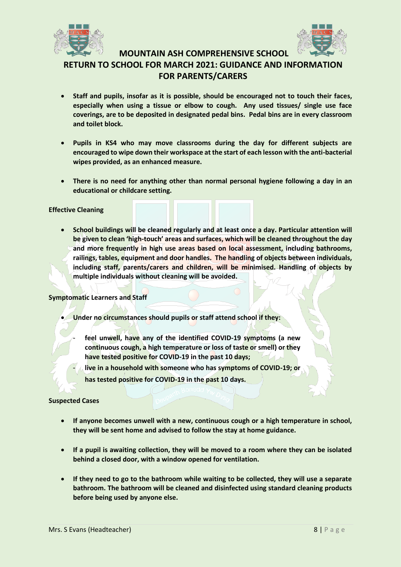



**RETURN TO SCHOOL FOR MARCH 2021: GUIDANCE AND INFORMATION FOR PARENTS/CARERS**

- **Staff and pupils, insofar as it is possible, should be encouraged not to touch their faces, especially when using a tissue or elbow to cough. Any used tissues/ single use face coverings, are to be deposited in designated pedal bins. Pedal bins are in every classroom and toilet block.**
- **Pupils in KS4 who may move classrooms during the day for different subjects are encouraged to wipe down their workspace at the start of each lesson with the anti-bacterial wipes provided, as an enhanced measure.**
- **There is no need for anything other than normal personal hygiene following a day in an educational or childcare setting.**

### **Effective Cleaning**

• **School buildings will be cleaned regularly and at least once a day. Particular attention will be given to clean 'high-touch' areas and surfaces, which will be cleaned throughout the day and more frequently in high use areas based on local assessment, including bathrooms,**  railings, tables, equipment and door handles. The handling of objects between individuals, **including staff, parents/carers and children, will be minimised. Handling of objects by multiple individuals without cleaning will be avoided.**

### **Symptomatic Learners and Staff**

- **Under no circumstances should pupils or staff attend school if they:** 
	- **feel unwell, have any of the identified COVID-19 symptoms (a new continuous cough, a high temperature or loss of taste or smell) or they have tested positive for COVID-19 in the past 10 days;**
	- **live in a household with someone who has symptoms of COVID-19; or has tested positive for COVID-19 in the past 10 days.**

### **Suspected Cases**

- **If anyone becomes unwell with a new, continuous cough or a high temperature in school, they will be sent home and advised to follow the stay at home guidance.**
- **If a pupil is awaiting collection, they will be moved to a room where they can be isolated behind a closed door, with a window opened for ventilation.**
- **If they need to go to the bathroom while waiting to be collected, they will use a separate bathroom. The bathroom will be cleaned and disinfected using standard cleaning products before being used by anyone else.**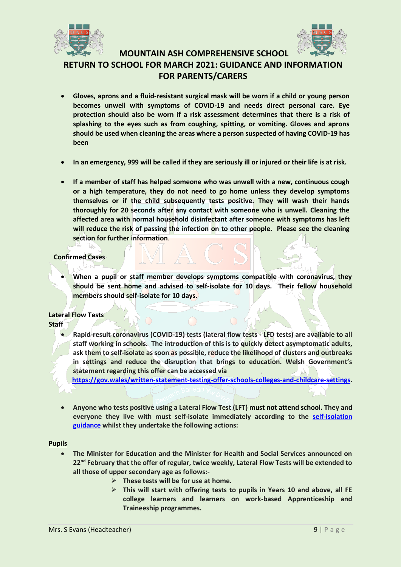



**RETURN TO SCHOOL FOR MARCH 2021: GUIDANCE AND INFORMATION FOR PARENTS/CARERS**

- **Gloves, aprons and a fluid-resistant surgical mask will be worn if a child or young person becomes unwell with symptoms of COVID-19 and needs direct personal care. Eye protection should also be worn if a risk assessment determines that there is a risk of splashing to the eyes such as from coughing, spitting, or vomiting. Gloves and aprons should be used when cleaning the areas where a person suspected of having COVID-19 has been**
- **In an emergency, 999 will be called if they are seriously ill or injured or their life is at risk.**
- **If a member of staff has helped someone who was unwell with a new, continuous cough or a high temperature, they do not need to go home unless they develop symptoms themselves or if the child subsequently tests positive. They will wash their hands thoroughly for 20 seconds after any contact with someone who is unwell. Cleaning the affected area with normal household disinfectant after someone with symptoms has left will reduce the risk of passing the infection on to other people. Please see the cleaning section for further information**.

## **Confirmed Cases**

• **When a pupil or staff member develops symptoms compatible with coronavirus, they should be sent home and advised to self-isolate for 10 days. Their fellow household members should self-isolate for 10 days.** 

## **Lateral Flow Tests**

## **Staff**

• **Rapid-result coronavirus (COVID-19) tests (lateral flow tests - LFD tests) are available to all staff working in schools. The introduction of this is to quickly detect asymptomatic adults, ask them to self-isolate as soon as possible, reduce the likelihood of clusters and outbreaks in settings and reduce the disruption that brings to education. Welsh Government's statement regarding this offer can be accessed via**

**[https://gov.wales/written-statement-testing-offer-schools-colleges-and-childcare-settings.](https://gov.wales/written-statement-testing-offer-schools-colleges-and-childcare-settings)**

• **Anyone who tests positive using a Lateral Flow Test (LFT) must not attend school. They and everyone they live with must self-isolate immediately according to the [self-isolation](https://gov.wales/self-isolation)  [guidance](https://gov.wales/self-isolation) whilst they undertake the following actions:** 

### **Pupils**

- **The Minister for Education and the Minister for Health and Social Services announced on 22nd February that the offer of regular, twice weekly, Lateral Flow Tests will be extended to all those of upper secondary age as follows:-**
	- ➢ **These tests will be for use at home.** 
		- ➢ **This will start with offering tests to pupils in Years 10 and above, all FE college learners and learners on work-based Apprenticeship and Traineeship programmes.**